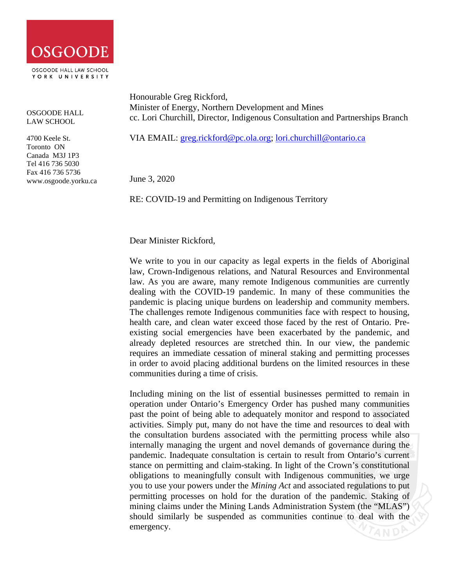

OSGOODE HALL LAW SCHOOL

4700 Keele St. Toronto ON Canada M3J 1P3 Tel 416 736 5030 Fax 416 736 5736 www.osgoode.yorku.ca Honourable Greg Rickford, Minister of Energy, Northern Development and Mines cc. Lori Churchill, Director, Indigenous Consultation and Partnerships Branch

VIA EMAIL: [greg.rickford@pc.ola.org;](mailto:greg.rickford@pc.ola.org) [lori.churchill@ontario.ca](mailto:lori.churchill@ontario.ca)

June 3, 2020

RE: COVID-19 and Permitting on Indigenous Territory

Dear Minister Rickford,

We write to you in our capacity as legal experts in the fields of Aboriginal law, Crown-Indigenous relations, and Natural Resources and Environmental law. As you are aware, many remote Indigenous communities are currently dealing with the COVID-19 pandemic. In many of these communities the pandemic is placing unique burdens on leadership and community members. The challenges remote Indigenous communities face with respect to housing, health care, and clean water exceed those faced by the rest of Ontario. Preexisting social emergencies have been exacerbated by the pandemic, and already depleted resources are stretched thin. In our view, the pandemic requires an immediate cessation of mineral staking and permitting processes in order to avoid placing additional burdens on the limited resources in these communities during a time of crisis.

Including mining on the list of essential businesses permitted to remain in operation under Ontario's Emergency Order has pushed many communities past the point of being able to adequately monitor and respond to associated activities. Simply put, many do not have the time and resources to deal with the consultation burdens associated with the permitting process while also internally managing the urgent and novel demands of governance during the pandemic. Inadequate consultation is certain to result from Ontario's current stance on permitting and claim-staking. In light of the Crown's constitutional obligations to meaningfully consult with Indigenous communities, we urge you to use your powers under the *Mining Act* and associated regulations to put permitting processes on hold for the duration of the pandemic. Staking of mining claims under the Mining Lands Administration System (the "MLAS") should similarly be suspended as communities continue to deal with the emergency.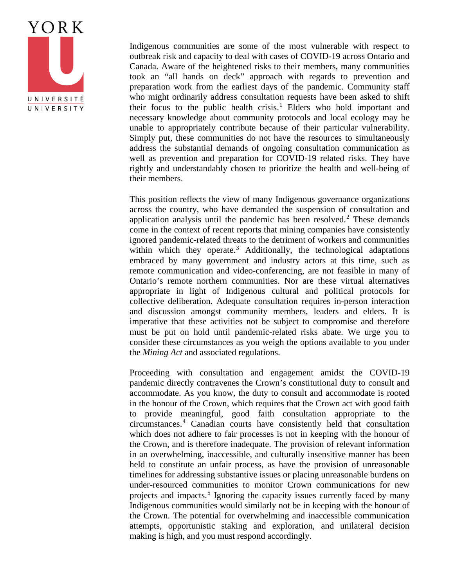

Indigenous communities are some of the most vulnerable with respect to outbreak risk and capacity to deal with cases of COVID-19 across Ontario and Canada. Aware of the heightened risks to their members, many communities took an "all hands on deck" approach with regards to prevention and preparation work from the earliest days of the pandemic. Community staff who might ordinarily address consultation requests have been asked to shift their focus to the public health crisis.<sup>[1](#page-3-0)</sup> Elders who hold important and necessary knowledge about community protocols and local ecology may be unable to appropriately contribute because of their particular vulnerability. Simply put, these communities do not have the resources to simultaneously address the substantial demands of ongoing consultation communication as well as prevention and preparation for COVID-19 related risks. They have rightly and understandably chosen to prioritize the health and well-being of their members.

This position reflects the view of many Indigenous governance organizations across the country, who have demanded the suspension of consultation and application analysis until the pandemic has been resolved.<sup>[2](#page-3-1)</sup> These demands come in the context of recent reports that mining companies have consistently ignored pandemic-related threats to the detriment of workers and communities within which they operate.<sup>[3](#page-3-2)</sup> Additionally, the technological adaptations embraced by many government and industry actors at this time, such as remote communication and video-conferencing, are not feasible in many of Ontario's remote northern communities. Nor are these virtual alternatives appropriate in light of Indigenous cultural and political protocols for collective deliberation. Adequate consultation requires in-person interaction and discussion amongst community members, leaders and elders. It is imperative that these activities not be subject to compromise and therefore must be put on hold until pandemic-related risks abate. We urge you to consider these circumstances as you weigh the options available to you under the *Mining Act* and associated regulations.

Proceeding with consultation and engagement amidst the COVID-19 pandemic directly contravenes the Crown's constitutional duty to consult and accommodate. As you know, the duty to consult and accommodate is rooted in the honour of the Crown, which requires that the Crown act with good faith to provide meaningful, good faith consultation appropriate to the circumstances.[4](#page-3-3) Canadian courts have consistently held that consultation which does not adhere to fair processes is not in keeping with the honour of the Crown, and is therefore inadequate. The provision of relevant information in an overwhelming, inaccessible, and culturally insensitive manner has been held to constitute an unfair process, as have the provision of unreasonable timelines for addressing substantive issues or placing unreasonable burdens on under-resourced communities to monitor Crown communications for new projects and impacts.<sup>[5](#page-3-4)</sup> Ignoring the capacity issues currently faced by many Indigenous communities would similarly not be in keeping with the honour of the Crown. The potential for overwhelming and inaccessible communication attempts, opportunistic staking and exploration, and unilateral decision making is high, and you must respond accordingly.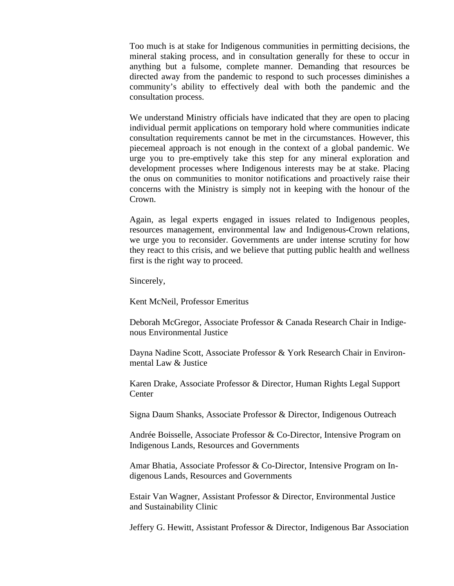Too much is at stake for Indigenous communities in permitting decisions, the mineral staking process, and in consultation generally for these to occur in anything but a fulsome, complete manner. Demanding that resources be directed away from the pandemic to respond to such processes diminishes a community's ability to effectively deal with both the pandemic and the consultation process.

We understand Ministry officials have indicated that they are open to placing individual permit applications on temporary hold where communities indicate consultation requirements cannot be met in the circumstances. However, this piecemeal approach is not enough in the context of a global pandemic. We urge you to pre-emptively take this step for any mineral exploration and development processes where Indigenous interests may be at stake. Placing the onus on communities to monitor notifications and proactively raise their concerns with the Ministry is simply not in keeping with the honour of the Crown.

Again, as legal experts engaged in issues related to Indigenous peoples, resources management, environmental law and Indigenous-Crown relations, we urge you to reconsider. Governments are under intense scrutiny for how they react to this crisis, and we believe that putting public health and wellness first is the right way to proceed.

Sincerely,

Kent McNeil, Professor Emeritus

Deborah McGregor, Associate Professor & Canada Research Chair in Indigenous Environmental Justice

Dayna Nadine Scott, Associate Professor & York Research Chair in Environmental Law & Justice

Karen Drake, Associate Professor & Director, Human Rights Legal Support **Center** 

Signa Daum Shanks, Associate Professor & Director, Indigenous Outreach

Andrée Boisselle, Associate Professor & Co-Director, Intensive Program on Indigenous Lands, Resources and Governments

Amar Bhatia, Associate Professor & Co-Director, Intensive Program on Indigenous Lands, Resources and Governments

Estair Van Wagner, Assistant Professor & Director, Environmental Justice and Sustainability Clinic

Jeffery G. Hewitt, Assistant Professor & Director, Indigenous Bar Association